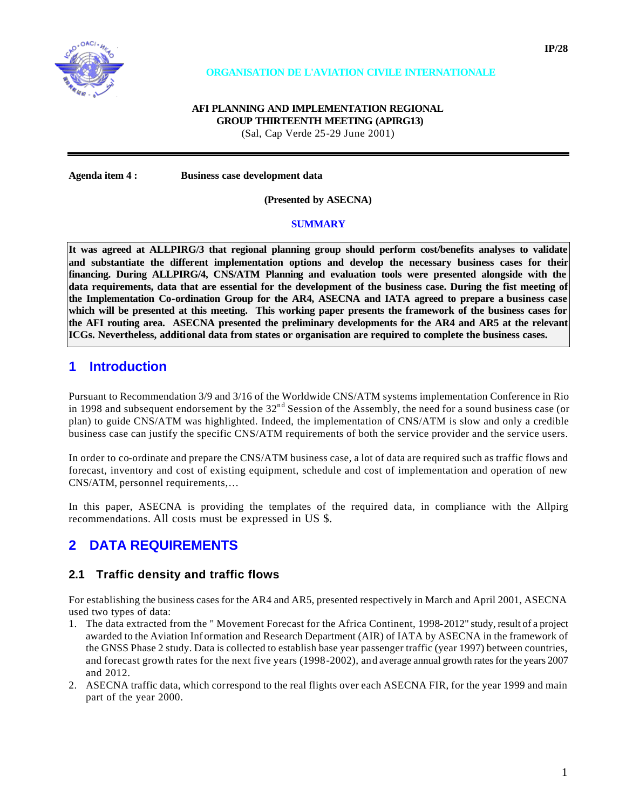

#### **ORGANISATION DE L'AVIATION CIVILE INTERNATIONALE**

#### **AFI PLANNING AND IMPLEMENTATION REGIONAL GROUP THIRTEENTH MEETING (APIRG13)**

(Sal, Cap Verde 25-29 June 2001)

**Agenda item 4 : Business case development data**

**(Presented by ASECNA)**

#### **SUMMARY**

**It was agreed at ALLPIRG/3 that regional planning group should perform cost/benefits analyses to validate and substantiate the different implementation options and develop the necessary business cases for their financing. During ALLPIRG/4, CNS/ATM Planning and evaluation tools were presented alongside with the**  data requirements, data that are essential for the development of the business case. During the fist meeting of **the Implementation Co-ordination Group for the AR4, ASECNA and IATA agreed to prepare a business case which will be presented at this meeting. This working paper presents the framework of the business cases for the AFI routing area. ASECNA presented the preliminary developments for the AR4 and AR5 at the relevant ICGs. Nevertheless, additional data from states or organisation are required to complete the business cases.**

### **1 Introduction**

Pursuant to Recommendation 3/9 and 3/16 of the Worldwide CNS/ATM systems implementation Conference in Rio in 1998 and subsequent endorsement by the  $32<sup>nd</sup>$  Session of the Assembly, the need for a sound business case (or plan) to guide CNS/ATM was highlighted. Indeed, the implementation of CNS/ATM is slow and only a credible business case can justify the specific CNS/ATM requirements of both the service provider and the service users.

In order to co-ordinate and prepare the CNS/ATM business case, a lot of data are required such as traffic flows and forecast, inventory and cost of existing equipment, schedule and cost of implementation and operation of new CNS/ATM, personnel requirements,…

In this paper, ASECNA is providing the templates of the required data, in compliance with the Allpirg recommendations. All costs must be expressed in US \$.

## **2 DATA REQUIREMENTS**

#### **2.1 Traffic density and traffic flows**

For establishing the business cases for the AR4 and AR5, presented respectively in March and April 2001, ASECNA used two types of data:

- 1. The data extracted from the " Movement Forecast for the Africa Continent, 1998-2012" study, result of a project awarded to the Aviation Inf ormation and Research Department (AIR) of IATA by ASECNA in the framework of the GNSS Phase 2 study. Data is collected to establish base year passenger traffic (year 1997) between countries, and forecast growth rates for the next five years (1998-2002), and average annual growth rates for the years 2007 and 2012.
- 2. ASECNA traffic data, which correspond to the real flights over each ASECNA FIR, for the year 1999 and main part of the year 2000.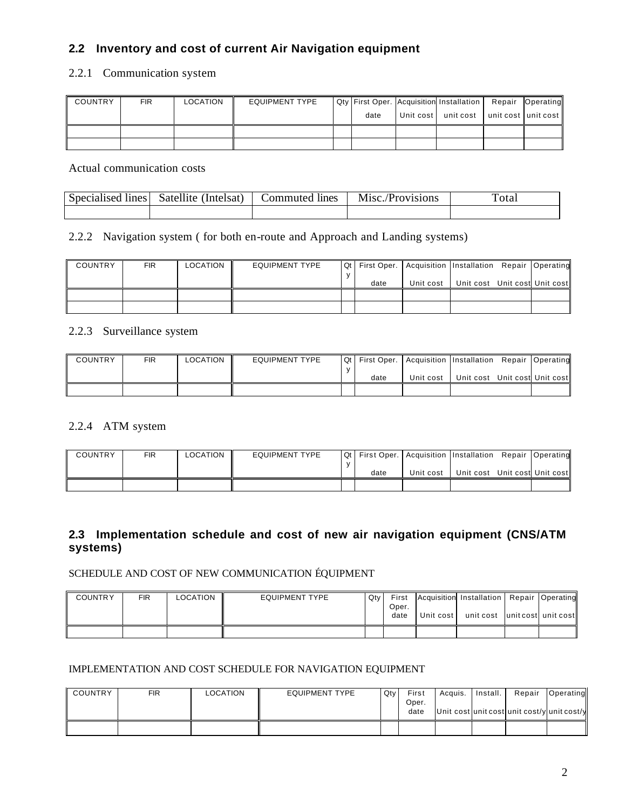## **2.2 Inventory and cost of current Air Navigation equipment**

### 2.2.1 Communication system

| COUNTRY | <b>FIR</b> | <b>LOCATION</b> | <b>EQUIPMENT TYPE</b> |      | Qty First Oper. Acquisition Installation   Repair   Operating |                     |  |
|---------|------------|-----------------|-----------------------|------|---------------------------------------------------------------|---------------------|--|
|         |            |                 |                       | date | Unit cost unit cost                                           | unit cost unit cost |  |
|         |            |                 |                       |      |                                                               |                     |  |
|         |            |                 |                       |      |                                                               |                     |  |

Actual communication costs

| Specialised lines | Satellite (Intelsat) | .ommuted<br>lines | M <sub>18</sub> c./Provisions | otal |
|-------------------|----------------------|-------------------|-------------------------------|------|
|                   |                      |                   |                               |      |

### 2.2.2 Navigation system ( for both en-route and Approach and Landing systems)

| <b>COUNTRY</b> | <b>FIR</b> | LOCATION | <b>EQUIPMENT TYPE</b> |      | Qt   First Oper.   Acquisition   Installation Repair   Operating |                               |  |
|----------------|------------|----------|-----------------------|------|------------------------------------------------------------------|-------------------------------|--|
|                |            |          |                       | date | Unit cost                                                        | Unit cost Unit cost Unit cost |  |
|                |            |          |                       |      |                                                                  |                               |  |
|                |            |          |                       |      |                                                                  |                               |  |

#### 2.2.3 Surveillance system

| <b>COUNTRY</b> | FIR | LOCATION | <b>EQUIPMENT TYPE</b> |      | Qt   First Oper.   Acquisition   Installation Repair   Operating |                               |  |
|----------------|-----|----------|-----------------------|------|------------------------------------------------------------------|-------------------------------|--|
|                |     |          |                       | date | Unit cost                                                        | Unit cost Unit cost Unit cost |  |
|                |     |          |                       |      |                                                                  |                               |  |

#### 2.2.4 ATM system

| <b>COUNTRY</b> | FIR | LOCATION | <b>EQUIPMENT TYPE</b> |      | Qt   First Oper.   Acquisition   Installation Repair   Operating |                               |  |
|----------------|-----|----------|-----------------------|------|------------------------------------------------------------------|-------------------------------|--|
|                |     |          |                       | date | Unit cost                                                        | Unit cost Unit cost Unit cost |  |
|                |     |          |                       |      |                                                                  |                               |  |

## **2.3 Implementation schedule and cost of new air navigation equipment (CNS/ATM systems)**

### SCHEDULE AND COST OF NEW COMMUNICATION ÉQUIPMENT

| <b>COUNTRY</b> | FIR | <b>LOCATION</b> | <b>EQUIPMENT TYPE</b> | Qty | First         |           | Acquisition Installation | Repair Operating    |
|----------------|-----|-----------------|-----------------------|-----|---------------|-----------|--------------------------|---------------------|
|                |     |                 |                       |     | Oper.<br>date | Unit cost | unit cost                | unit cost unit cost |
|                |     |                 |                       |     |               |           |                          |                     |

#### IMPLEMENTATION AND COST SCHEDULE FOR NAVIGATION EQUIPMENT

| <b>COUNTRY</b> | <b>FIR</b> | LOCATION | EQUIPMENT TYPE | Qty | First<br>Oper.<br>date | Acquis. | Install. | Repair<br>Unit cost unit cost unit cost/y unit cost/y | Operating |
|----------------|------------|----------|----------------|-----|------------------------|---------|----------|-------------------------------------------------------|-----------|
|                |            |          |                |     |                        |         |          |                                                       |           |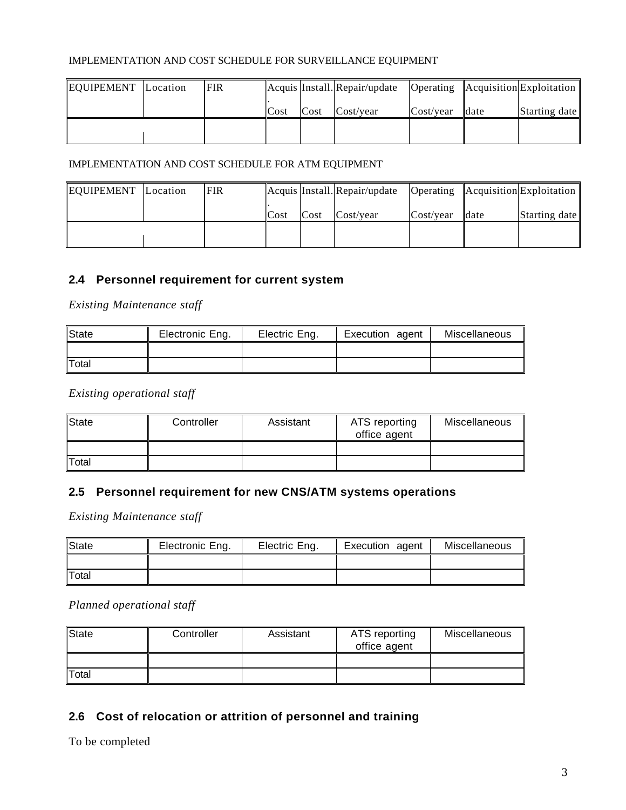#### IMPLEMENTATION AND COST SCHEDULE FOR SURVEILLANCE EQUIPMENT

| EQUIPEMENT Location | <b>FIR</b> |      |      | Acquis Install. Repair/update |           |      | $\sqrt{\frac{1}{2}}$   Acquisition Exploitation |
|---------------------|------------|------|------|-------------------------------|-----------|------|-------------------------------------------------|
|                     |            | Cost | Cost | Cost/year                     | Cost/vear | date | Starting date                                   |
|                     |            |      |      |                               |           |      |                                                 |
|                     |            |      |      |                               |           |      |                                                 |

### IMPLEMENTATION AND COST SCHEDULE FOR ATM EQUIPMENT

| EQUIPEMENT Location | <b>FIR</b> |      |      | Acquis Install. Repair/update |           |      | $\sqrt{\frac{1}{2}}$   Acquisition Exploitation |
|---------------------|------------|------|------|-------------------------------|-----------|------|-------------------------------------------------|
|                     |            | Cost | Cost | Cost/year                     | Cost/year | date | Starting date                                   |
|                     |            |      |      |                               |           |      |                                                 |

## **2.4 Personnel requirement for current system**

*Existing Maintenance staff*

| State | Electronic Eng. | Electric Eng. | Execution agent | Miscellaneous |
|-------|-----------------|---------------|-----------------|---------------|
|       |                 |               |                 |               |
| Total |                 |               |                 |               |

*Existing operational staff*

| State | Controller | Assistant | ATS reporting<br>office agent | Miscellaneous |
|-------|------------|-----------|-------------------------------|---------------|
|       |            |           |                               |               |
| Total |            |           |                               |               |

## **2.5 Personnel requirement for new CNS/ATM systems operations**

*Existing Maintenance staff*

| State | Electronic Eng. | Electric Eng. | Execution agent | Miscellaneous |
|-------|-----------------|---------------|-----------------|---------------|
|       |                 |               |                 |               |
| Total |                 |               |                 |               |

*Planned operational staff* 

| State | Controller | Assistant | ATS reporting<br>office agent | Miscellaneous |
|-------|------------|-----------|-------------------------------|---------------|
|       |            |           |                               |               |
| Total |            |           |                               |               |

## **2.6 Cost of relocation or attrition of personnel and training**

To be completed